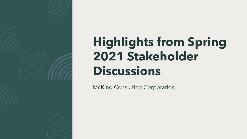

# **Highlights from Spring 2021 Stakeholder Discussions**

McKing Consulting Corporation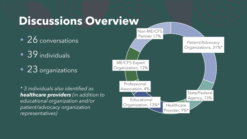## **Discussions Overview**

- 26 conversations
- **39** individuals
- 23 organizations

*\* 3 individuals also identified as healthcare providers (in addition to educational organization and/or patient/advocacy organization representatives)*

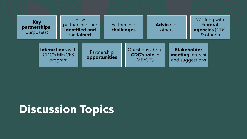

## **Discussion Topics**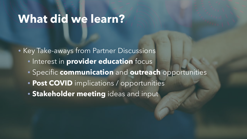## **What did we learn?**

• Key Take-aways from Partner Discussions

- Interest in **provider education** focus
- Specific **communication** and **outreach** opportunities
- **Post COVID** implications / opportunities
- **Stakeholder meeting** ideas and input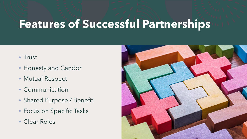# **Features of Successful Partnerships**

- Trust
- Honesty and Candor
- Mutual Respect
- Communication
- Shared Purpose / Benefit
- Focus on Specific Tasks
- Clear Roles

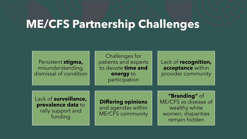# **ME/CFS Partnership Challenges**

Persistent **stigma,** misunderstanding, dismissal of condition

Challenges for patients and experts to devote **time and energy** to participation

Lack of **recognition, acceptance** within provider community

Lack of **surveillance, prevalence data** to rally support and funding

**Differing opinions** and agendas within ME/CFS community

**"Branding"** of ME/CFS as disease of wealthy white women; disparities remain hidden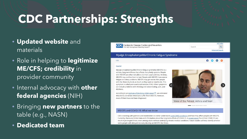## **CDC Partnerships: Strengths**

- **Updated website** and materials
- Role in helping to **legitimize ME/CFS; credibility** in provider community
- Internal advocacy with **other federal agencies** (NIH)
- Bringing **new partners** to the table (e.g., NASN)
- **Dedicated team**

#### Centers for Disease Control and Prevention CDC 24/7: Saving Lives, Protecting People™

A-Z Inder Search **Advanced Search** 

 $000$ 

#### Myalgic Encephalomyelitis/Chronic Fatigue Syndrome

#### $CDC$

#### Español

Myalgic encephalomyelitis/chronic fatigue syndrome (ME/CFS) is a serious, long-term illness that affects many body systems. People with ME/CFS are often not able to do their usual activities. At times, ME/CFS may confine them to bed. People with ME/CFS have severe fatigue and sleep problems. ME/CFS may get worse after people with the illness try to do as much as they want or need to do. This symptom is called post-exertional malaise (PEM). Other symptoms can include problems with thinking and concentrating, pain, and dizziness.

According to an Institute of Medicine (IOM) report [2], an estimated 836,000 to 2.5 million Americans suffer from ME/CFS. However, most of them have not been diagnosed.

### Voice of the Patient: Adhira and Neel

#### $\qquad \qquad \blacksquare$

#### ME/CFS and COVID-19: What we know

CDC is working with partners and stakeholders to better understand post-COVID conditions and how they affect people with ME/CFS. Currently, there are limited data and information about the long-term effects of COVID-19. A recent report found that COVID-19 can result in prolonged illness, even among adults without underlying chronic medical conditions. Future studies will help identify whether some people with delayed recovery develop an ME/CFS-like illness.

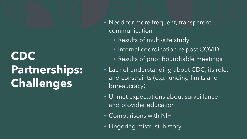# **CDC Partnerships: Challenges**

- Need for more frequent, transparent communication
	- Results of multi-site study
	- Internal coordination re post COVID
	- Results of prior Roundtable meetings
- Lack of understanding about CDC, its role, and constraints (e.g. funding limits and bureaucracy)
- Unmet expectations about surveillance and provider education
- Comparisons with NIH
- Lingering mistrust, history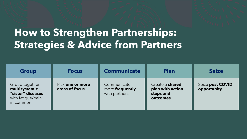## **How to Strengthen Partnerships: Strategies & Advice from Partners**

| <b>Group</b>                                                                           | <b>Focus</b>                       | <b>Communicate</b>                              | <b>Plan</b>                                                         | <b>Seize</b>                    |
|----------------------------------------------------------------------------------------|------------------------------------|-------------------------------------------------|---------------------------------------------------------------------|---------------------------------|
| Group together<br>multisystemic<br>"sister" diseases<br>with fatigue/pain<br>in common | Pick one or more<br>areas of focus | Communicate<br>more frequently<br>with partners | Create a <b>shared</b><br>plan with action<br>steps and<br>outcomes | Seize post COVID<br>opportunity |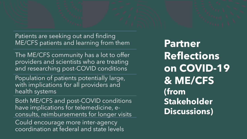Patients are seeking out and finding ME/CFS patients and learning from them

The ME/CFS community has a lot to offer providers and scientists who are treating and researching post-COVID conditions

Population of patients potentially large, with implications for all providers and health systems

Both ME/CFS and post-COVID conditions have implications for telemedicine, econsults, reimbursements for longer visits Could encourage more inter-agency coordination at federal and state levels

**Partner Reflections on COVID-19 & ME/CFS (from Stakeholder Discussions)**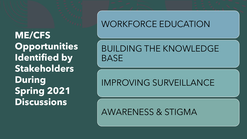**ME/CFS Opportunities Identified by Stakeholders During Spring 2021 Discussions**

### WORKFORCE EDUCATION

### BUILDING THE KNOWLEDGE BASE

## IMPROVING SURVEILLANCE

AWARENESS & STIGMA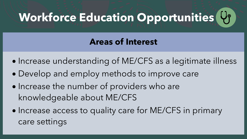# **Workforce Education Opportunities**

### **Areas of Interest**

- Increase understanding of ME/CFS as a legitimate illness
- Develop and employ methods to improve care
- Increase the number of providers who are knowledgeable about ME/CFS
- Increase access to quality care for ME/CFS in primary care settings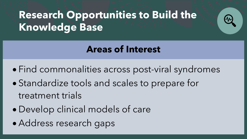## **Research Opportunities to Build the Knowledge Base**



- Find commonalities across post-viral syndromes
- Standardize tools and scales to prepare for treatment trials
- Develop clinical models of care
- Address research gaps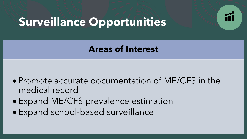

# **Surveillance Opportunities**

### **Areas of Interest**

- Promote accurate documentation of ME/CFS in the medical record
- Expand ME/CFS prevalence estimation
- Expand school-based surveillance